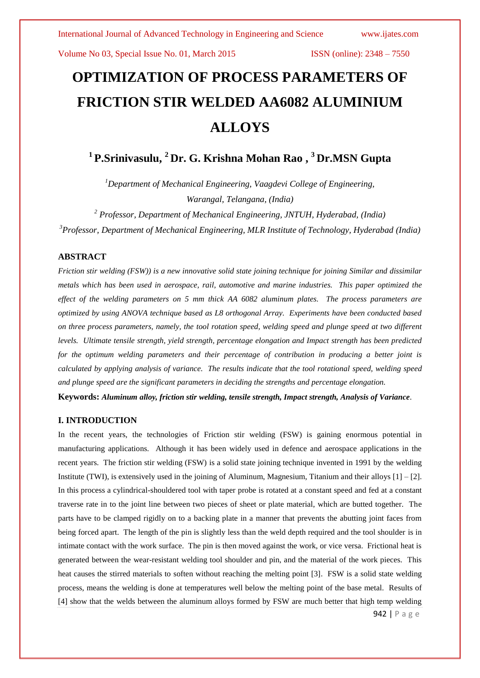# **OPTIMIZATION OF PROCESS PARAMETERS OF FRICTION STIR WELDED AA6082 ALUMINIUM ALLOYS**

# **1 P.Srinivasulu, <sup>2</sup> Dr. G. Krishna Mohan Rao , <sup>3</sup> Dr.MSN Gupta**

*<sup>1</sup>Department of Mechanical Engineering, Vaagdevi College of Engineering, Warangal, Telangana, (India)*

*<sup>2</sup> Professor, Department of Mechanical Engineering, JNTUH, Hyderabad, (India) <sup>3</sup>Professor, Department of Mechanical Engineering, MLR Institute of Technology, Hyderabad (India)*

### **ABSTRACT**

*Friction stir welding (FSW)) is a new innovative solid state joining technique for joining Similar and dissimilar metals which has been used in aerospace, rail, automotive and marine industries. This paper optimized the effect of the welding parameters on 5 mm thick AA 6082 aluminum plates. The process parameters are optimized by using ANOVA technique based as L8 orthogonal Array. Experiments have been conducted based on three process parameters, namely, the tool rotation speed, welding speed and plunge speed at two different levels. Ultimate tensile strength, yield strength, percentage elongation and Impact strength has been predicted for the optimum welding parameters and their percentage of contribution in producing a better joint is calculated by applying analysis of variance. The results indicate that the tool rotational speed, welding speed and plunge speed are the significant parameters in deciding the strengths and percentage elongation.*

**Keywords:** *Aluminum alloy, friction stir welding, tensile strength, Impact strength, Analysis of Variance.*

### **I. INTRODUCTION**

In the recent years, the technologies of Friction stir welding (FSW) is gaining enormous potential in manufacturing applications. Although it has been widely used in defence and aerospace applications in the recent years. The friction stir welding (FSW) is a solid state joining technique invented in 1991 by the welding Institute (TWI), is extensively used in the joining of Aluminum, Magnesium, Titanium and their alloys [1] – [2]. In this process a cylindrical-shouldered tool with taper probe is rotated at a constant speed and fed at a constant traverse rate in to the joint line between two pieces of sheet or plate material, which are butted together. The parts have to be clamped rigidly on to a backing plate in a manner that prevents the abutting joint faces from being forced apart. The length of the pin is slightly less than the weld depth required and the tool shoulder is in intimate contact with the work surface. The pin is then moved against the work, or vice versa. Frictional heat is generated between the wear-resistant welding tool shoulder and pin, and the material of the work pieces. This heat causes the stirred materials to soften without reaching the melting point [3]. FSW is a solid state welding process, means the welding is done at temperatures well below the melting point of the base metal. Results of [4] show that the welds between the aluminum alloys formed by FSW are much better that high temp welding

942 | P a g e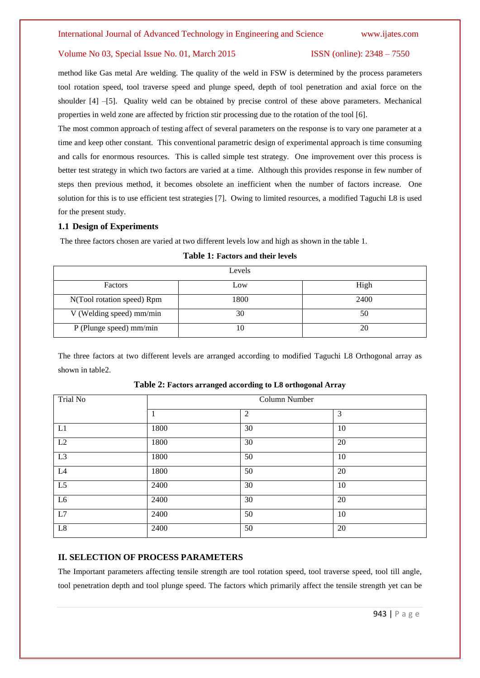method like Gas metal Are welding. The quality of the weld in FSW is determined by the process parameters tool rotation speed, tool traverse speed and plunge speed, depth of tool penetration and axial force on the shoulder [4] –[5]. Quality weld can be obtained by precise control of these above parameters. Mechanical properties in weld zone are affected by friction stir processing due to the rotation of the tool [6].

The most common approach of testing affect of several parameters on the response is to vary one parameter at a time and keep other constant. This conventional parametric design of experimental approach is time consuming and calls for enormous resources. This is called simple test strategy. One improvement over this process is better test strategy in which two factors are varied at a time. Although this provides response in few number of steps then previous method, it becomes obsolete an inefficient when the number of factors increase. One solution for this is to use efficient test strategies [7]. Owing to limited resources, a modified Taguchi L8 is used for the present study.

### **1.1 Design of Experiments**

The three factors chosen are varied at two different levels low and high as shown in the table 1.

| Levels                     |      |      |  |  |  |  |  |  |  |
|----------------------------|------|------|--|--|--|--|--|--|--|
| Factors                    | Low  | High |  |  |  |  |  |  |  |
| N(Tool rotation speed) Rpm | 1800 | 2400 |  |  |  |  |  |  |  |
| V (Welding speed) mm/min   | 30   | 50   |  |  |  |  |  |  |  |
| P (Plunge speed) mm/min    |      | 20   |  |  |  |  |  |  |  |

**Table 1: Factors and their levels**

The three factors at two different levels are arranged according to modified Taguchi L8 Orthogonal array as shown in table2.

| Trial No        | Column Number |                |    |  |  |  |  |
|-----------------|---------------|----------------|----|--|--|--|--|
|                 |               | $\overline{2}$ | 3  |  |  |  |  |
| L1              | 1800          | 30             | 10 |  |  |  |  |
| L2              | 1800          | 30             | 20 |  |  |  |  |
| L <sub>3</sub>  | 1800          | 50             | 10 |  |  |  |  |
| L4              | 1800          | 50             | 20 |  |  |  |  |
| $\overline{L5}$ | 2400          | 30             | 10 |  |  |  |  |
| L6              | 2400          | 30             | 20 |  |  |  |  |
| L7              | 2400          | 50             | 10 |  |  |  |  |
| $\;$ L8 $\;$    | 2400          | 50             | 20 |  |  |  |  |

**Table 2: Factors arranged according to L8 orthogonal Array**

# **II. SELECTION OF PROCESS PARAMETERS**

The Important parameters affecting tensile strength are tool rotation speed, tool traverse speed, tool till angle, tool penetration depth and tool plunge speed. The factors which primarily affect the tensile strength yet can be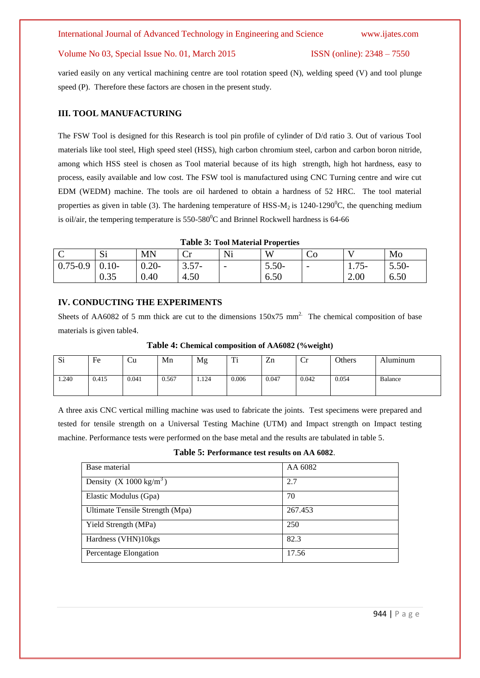varied easily on any vertical machining centre are tool rotation speed (N), welding speed (V) and tool plunge speed (P). Therefore these factors are chosen in the present study.

# **III. TOOL MANUFACTURING**

The FSW Tool is designed for this Research is tool pin profile of cylinder of D/d ratio 3. Out of various Tool materials like tool steel, High speed steel (HSS), high carbon chromium steel, carbon and carbon boron nitride, among which HSS steel is chosen as Tool material because of its high strength, high hot hardness, easy to process, easily available and low cost. The FSW tool is manufactured using CNC Turning centre and wire cut EDM (WEDM) machine. The tools are oil hardened to obtain a hardness of 52 HRC. The tool material properties as given in table (3). The hardening temperature of HSS- $M_2$  is 1240-1290<sup>0</sup>C, the quenching medium is oil/air, the tempering temperature is  $550-580^{\circ}$ C and Brinnel Rockwell hardness is 64-66

**Table 3: Tool Material Properties**

| $\sim$<br>╰  | Si      | <b>MN</b> | $\mathcal{L}_{\mathbf{u}}$<br>◡ェ | Ni                       | W       | ĊО                       |          | Mo      |
|--------------|---------|-----------|----------------------------------|--------------------------|---------|--------------------------|----------|---------|
| $0.75 - 0.9$ | $0.10-$ | $0.20 -$  | $3.57 -$                         | $\overline{\phantom{0}}$ | $3.50-$ | $\overline{\phantom{m}}$ | $1.75 -$ | $3.50-$ |
|              | 0.35    | 0.40      | 4.50                             |                          | 6.50    |                          | 2.00     | 6.50    |

### **IV. CONDUCTING THE EXPERIMENTS**

Sheets of AA6082 of 5 mm thick are cut to the dimensions  $150x75$  mm<sup>2</sup>. The chemical composition of base materials is given table4.

| Si    | −<br>Fe | ∪∪    | Mn    | Mg    | m.<br><b>TT</b> | $\overline{ }$<br>Zn | Ůr    | Others | Aluminum |
|-------|---------|-------|-------|-------|-----------------|----------------------|-------|--------|----------|
| 1.240 | 0.415   | 0.041 | 0.567 | 1.124 | 0.006           | 0.047                | 0.042 | 0.054  | Balance  |

**Table 4: Chemical composition of AA6082 (%weight)**

A three axis CNC vertical milling machine was used to fabricate the joints. Test specimens were prepared and tested for tensile strength on a Universal Testing Machine (UTM) and Impact strength on Impact testing machine. Performance tests were performed on the base metal and the results are tabulated in table 5.

**Table 5: Performance test results on AA 6082**.

| AA 6082 |
|---------|
|         |
| 2.7     |
|         |
| 70      |
|         |
| 267.453 |
|         |
| 250     |
|         |
| 82.3    |
|         |
| 17.56   |
|         |
|         |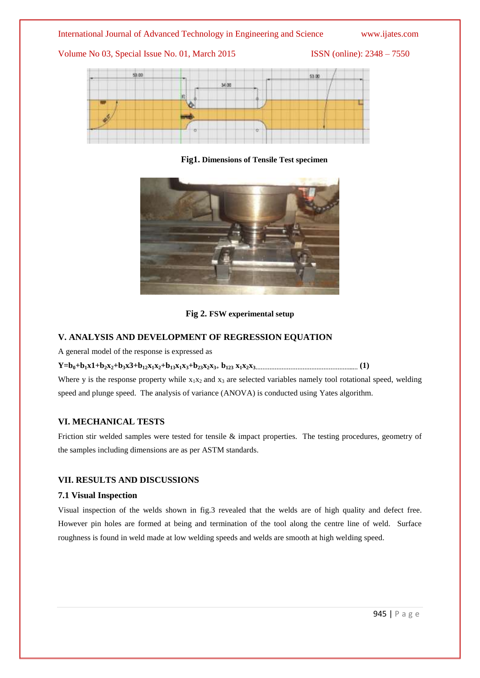Volume No 03, Special Issue No. 01, March 2015 ISSN (online): 2348 – 7550



**Fig1. Dimensions of Tensile Test specimen**



## **Fig 2. FSW experimental setup**

# **V. ANALYSIS AND DEVELOPMENT OF REGRESSION EQUATION**

A general model of the response is expressed as

 $Y=b_0+b_1x1+b_2x_2+b_3x3+b_{12}x_1x_2+b_{13}x_1x_3+b_{23}x_2x_3+b_{123}x_1x_2x_3...$ 

Where y is the response property while  $x_1x_2$  and  $x_3$  are selected variables namely tool rotational speed, welding speed and plunge speed. The analysis of variance (ANOVA) is conducted using Yates algorithm.

## **VI. MECHANICAL TESTS**

Friction stir welded samples were tested for tensile & impact properties. The testing procedures, geometry of the samples including dimensions are as per ASTM standards.

# **VII. RESULTS AND DISCUSSIONS**

## **7.1 Visual Inspection**

Visual inspection of the welds shown in fig.3 revealed that the welds are of high quality and defect free. However pin holes are formed at being and termination of the tool along the centre line of weld. Surface roughness is found in weld made at low welding speeds and welds are smooth at high welding speed.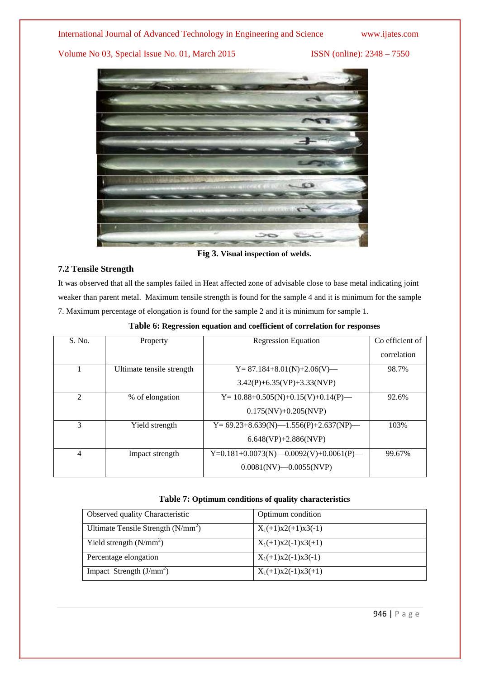

**Fig 3. Visual inspection of welds.**

# **7.2 Tensile Strength**

It was observed that all the samples failed in Heat affected zone of advisable close to base metal indicating joint weaker than parent metal. Maximum tensile strength is found for the sample 4 and it is minimum for the sample 7. Maximum percentage of elongation is found for the sample 2 and it is minimum for sample 1.

| S. No.         | Property                  | <b>Regression Equation</b>                  | Co efficient of |
|----------------|---------------------------|---------------------------------------------|-----------------|
|                |                           |                                             | correlation     |
|                | Ultimate tensile strength | $Y = 87.184 + 8.01(N) + 2.06(V)$            | 98.7%           |
|                |                           | $3.42(P)+6.35(VP)+3.33(NVP)$                |                 |
| $\mathfrak{D}$ | % of elongation           | $Y = 10.88 + 0.505(N) + 0.15(V) + 0.14(P)$  | 92.6%           |
|                |                           | $0.175(NV) + 0.205(NVP)$                    |                 |
| $\mathcal{R}$  | Yield strength            | $Y= 69.23+8.639(N)$ - 1.556(P)+2.637(NP) -  | 103%            |
|                |                           | $6.648(VP) + 2.886(NVP)$                    |                 |
| 4              | Impact strength           | $Y=0.181+0.0073(N)$ -0.0092(V)+0.0061(P) -- | 99.67%          |
|                |                           | $0.0081(NV) - 0.0055(NVP)$                  |                 |

**Table 6: Regression equation and coefficient of correlation for responses**

# **Table 7: Optimum conditions of quality characteristics**

| Observed quality Characteristic     | Optimum condition     |
|-------------------------------------|-----------------------|
| Ultimate Tensile Strength $(N/mm2)$ | $X_1(+1)x2(+1)x3(-1)$ |
| Yield strength $(N/mm2)$            | $X_1(+1)x2(-1)x3(+1)$ |
| Percentage elongation               | $X_1(+1)x2(-1)x3(-1)$ |
| Impact Strength $(J/mm2)$           | $X_1(+1)x2(-1)x3(+1)$ |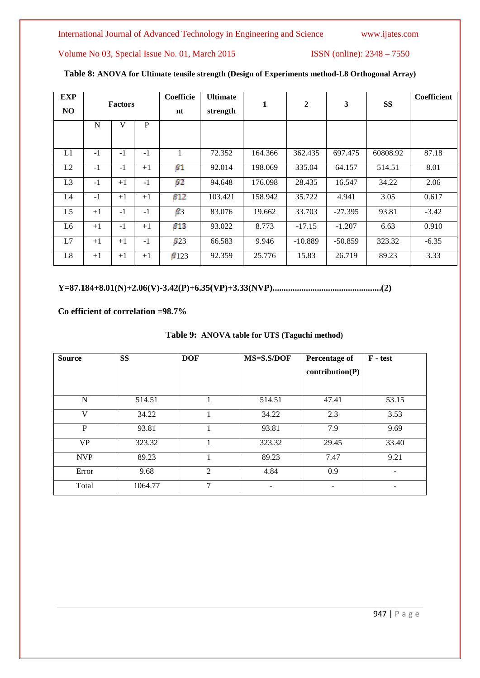|  | Table 8: ANOVA for Ultimate tensile strength (Design of Experiments method-L8 Orthogonal Array) |
|--|-------------------------------------------------------------------------------------------------|
|--|-------------------------------------------------------------------------------------------------|

| <b>EXP</b><br>N <sub>O</sub> | <b>Factors</b> |      | Coefficie<br>nt | <b>Ultimate</b><br>strength | 1       | $\mathbf{2}$ | 3         | <b>SS</b> | Coefficient |         |
|------------------------------|----------------|------|-----------------|-----------------------------|---------|--------------|-----------|-----------|-------------|---------|
|                              | N              | V    | P               |                             |         |              |           |           |             |         |
| L1                           | $-1$           | $-1$ | $-1$            |                             | 72.352  | 164.366      | 362.435   | 697.475   | 60808.92    | 87.18   |
| L2                           | $-1$           | $-1$ | $+1$            | $_{\beta}$ 1                | 92.014  | 198.069      | 335.04    | 64.157    | 514.51      | 8.01    |
| L <sub>3</sub>               | $-1$           | $+1$ | $-1$            | $_{B2}$                     | 94.648  | 176.098      | 28.435    | 16.547    | 34.22       | 2.06    |
| L4                           | $-1$           | $+1$ | $+1$            | $\beta$ 12                  | 103.421 | 158.942      | 35.722    | 4.941     | 3.05        | 0.617   |
| L <sub>5</sub>               | $+1$           | $-1$ | $-1$            | $\beta$ 3                   | 83.076  | 19.662       | 33.703    | $-27.395$ | 93.81       | $-3.42$ |
| L6                           | $+1$           | $-1$ | $+1$            | $\beta$ 13                  | 93.022  | 8.773        | $-17.15$  | $-1.207$  | 6.63        | 0.910   |
| L7                           | $+1$           | $+1$ | $-1$            | $\beta$ 23                  | 66.583  | 9.946        | $-10.889$ | $-50.859$ | 323.32      | $-6.35$ |
| L8                           | $+1$           | $+1$ | $+1$            | $\beta$ 123                 | 92.359  | 25.776       | 15.83     | 26.719    | 89.23       | 3.33    |

**Y=87.184+8.01(N)+2.06(V)-3.42(P)+6.35(VP)+3.33(NVP).................................................(2)**

**Co efficient of correlation =98.7%**

| Table 9: ANOVA table for UTS (Taguchi method) |  |  |  |  |  |
|-----------------------------------------------|--|--|--|--|--|
|-----------------------------------------------|--|--|--|--|--|

| <b>Source</b> | <b>SS</b> | <b>DOF</b>     | MS=S.S/DOF | <b>Percentage of</b><br>contribution(P) | F - test |
|---------------|-----------|----------------|------------|-----------------------------------------|----------|
|               |           |                |            |                                         |          |
| N             | 514.51    |                | 514.51     | 47.41                                   | 53.15    |
| V             | 34.22     |                | 34.22      | 2.3                                     | 3.53     |
| P             | 93.81     |                | 93.81      | 7.9                                     | 9.69     |
| <b>VP</b>     | 323.32    |                | 323.32     | 29.45                                   | 33.40    |
| <b>NVP</b>    | 89.23     |                | 89.23      | 7.47                                    | 9.21     |
| Error         | 9.68      | $\mathfrak{D}$ | 4.84       | 0.9                                     |          |
| Total         | 1064.77   | $\overline{7}$ |            |                                         |          |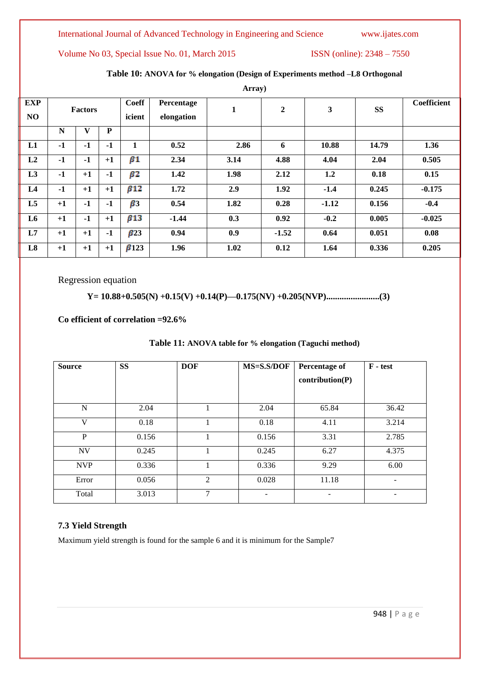Volume No 03, Special Issue No. 01, March 2015 ISSN (online): 2348 - 7550

|                              | Array)         |              |           |                        |                          |      |                |         |           |             |  |
|------------------------------|----------------|--------------|-----------|------------------------|--------------------------|------|----------------|---------|-----------|-------------|--|
| <b>EXP</b><br>N <sub>O</sub> | <b>Factors</b> |              |           | <b>Coeff</b><br>icient | Percentage<br>elongation | 1    | $\overline{2}$ | 3       | <b>SS</b> | Coefficient |  |
|                              | N              | $\mathbf{V}$ | ${\bf P}$ |                        |                          |      |                |         |           |             |  |
| L1                           | $-1$           | $-1$         | $-1$      | 1                      | 0.52                     | 2.86 | 6              | 10.88   | 14.79     | 1.36        |  |
| L <sub>2</sub>               | $-1$           | $-1$         | $+1$      | $\beta$ 1              | 2.34                     | 3.14 | 4.88           | 4.04    | 2.04      | 0.505       |  |
| L3                           | $-1$           | $+1$         | $-1$      | $\beta$ 2              | 1.42                     | 1.98 | 2.12           | 1.2     | 0.18      | 0.15        |  |
| L4                           | $-1$           | $+1$         | $+1$      | $\beta$ 12             | 1.72                     | 2.9  | 1.92           | $-1.4$  | 0.245     | $-0.175$    |  |
| L <sub>5</sub>               | $+1$           | $-1$         | $-1$      | $\beta$ 3              | 0.54                     | 1.82 | 0.28           | $-1.12$ | 0.156     | $-0.4$      |  |
| L6                           | $+1$           | $-1$         | $+1$      | $\beta$ 13             | $-1.44$                  | 0.3  | 0.92           | $-0.2$  | 0.005     | $-0.025$    |  |
| L7                           | $+1$           | $+1$         | $-1$      | $\beta$ 23             | 0.94                     | 0.9  | $-1.52$        | 0.64    | 0.051     | 0.08        |  |
| L8                           | $+1$           | $+1$         | $+1$      | $\beta$ 123            | 1.96                     | 1.02 | 0.12           | 1.64    | 0.336     | 0.205       |  |

# **Table 10: ANOVA for % elongation (Design of Experiments method –L8 Orthogonal**

Regression equation

# **Y= 10.88+0.505(N) +0.15(V) +0.14(P)—0.175(NV) +0.205(NVP)........................(3)**

**Co efficient of correlation =92.6%**

| <b>Source</b> | <b>SS</b> | <b>DOF</b> | MS=S.S/DOF | <b>Percentage of</b>     | $\bf{F}$ - test |
|---------------|-----------|------------|------------|--------------------------|-----------------|
|               |           |            |            | contribution(P)          |                 |
|               |           |            |            |                          |                 |
|               |           |            |            |                          |                 |
| N             | 2.04      |            | 2.04       | 65.84                    | 36.42           |
| $\mathbf{V}$  | 0.18      |            | 0.18       | 4.11                     | 3.214           |
| P             | 0.156     |            | 0.156      | 3.31                     | 2.785           |
| <b>NV</b>     | 0.245     |            | 0.245      | 6.27                     | 4.375           |
| <b>NVP</b>    | 0.336     |            | 0.336      | 9.29                     | 6.00            |
| Error         | 0.056     | 2          | 0.028      | 11.18                    |                 |
| Total         | 3.013     | 7          | ۰          | $\overline{\phantom{0}}$ |                 |

# **Table 11: ANOVA table for % elongation (Taguchi method)**

# **7.3 Yield Strength**

Maximum yield strength is found for the sample 6 and it is minimum for the Sample7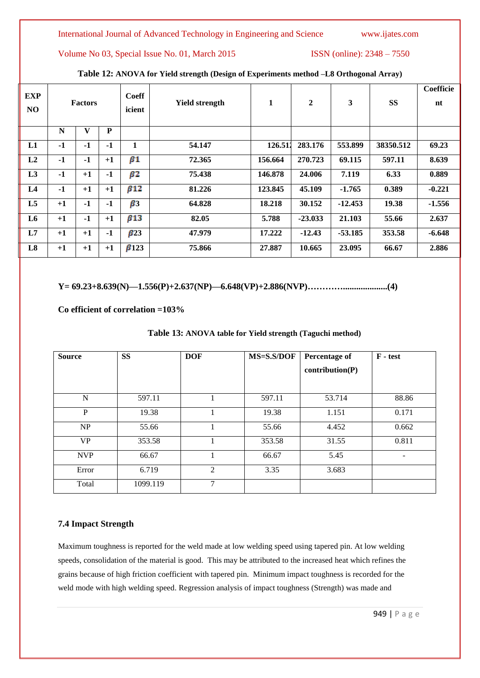Volume No 03, Special Issue No. 01, March 2015 ISSN (online): 2348 – 7550

| EXP<br>NO      | <b>Factors</b> |      | <b>Coeff</b><br>icient | <b>Yield strength</b> | 1      | $\overline{2}$ | 3         | SS        | Coefficie<br>nt |          |
|----------------|----------------|------|------------------------|-----------------------|--------|----------------|-----------|-----------|-----------------|----------|
|                | N              | V    | ${\bf P}$              |                       |        |                |           |           |                 |          |
| L1             | -1             | $-1$ | $-1$                   | 1                     | 54.147 | 126.512        | 283.176   | 553.899   | 38350.512       | 69.23    |
| L2             | $-1$           | $-1$ | $+1$                   | $\beta$ 1             | 72.365 | 156.664        | 270.723   | 69.115    | 597.11          | 8.639    |
| L <sub>3</sub> | $-1$           | $+1$ | $-1$                   | $\beta$ 2             | 75.438 | 146.878        | 24.006    | 7.119     | 6.33            | 0.889    |
| L4             | $-1$           | $+1$ | $+1$                   | $\beta$ 12            | 81.226 | 123.845        | 45.109    | $-1.765$  | 0.389           | $-0.221$ |
| L5             | $+1$           | $-1$ | $-1$                   | $\beta$ 3             | 64.828 | 18.218         | 30.152    | $-12.453$ | 19.38           | $-1.556$ |
| L <sub>6</sub> | $+1$           | $-1$ | $+1$                   | $\beta$ 13            | 82.05  | 5.788          | $-23.033$ | 21.103    | 55.66           | 2.637    |
| L7             | $+1$           | $+1$ | $-1$                   | $\beta$ 23            | 47.979 | 17.222         | $-12.43$  | $-53.185$ | 353.58          | $-6.648$ |
| L8             | $+1$           | $+1$ | $+1$                   | $\beta$ 123           | 75.866 | 27.887         | 10.665    | 23.095    | 66.67           | 2.886    |

# **Table 12: ANOVA for Yield strength (Design of Experiments method –L8 Orthogonal Array)**

**Y= 69.23+8.639(N)—1.556(P)+2.637(NP)—6.648(VP)+2.886(NVP)…………....................(4)**

**Co efficient of correlation =103%**

| <b>Source</b> | <b>SS</b> | <b>DOF</b> | MS=S.S/DOF | <b>Percentage of</b><br>contribution(P) | $F - test$ |
|---------------|-----------|------------|------------|-----------------------------------------|------------|
| N             | 597.11    |            | 597.11     | 53.714                                  | 88.86      |
| P             | 19.38     |            | 19.38      | 1.151                                   | 0.171      |
| NP            | 55.66     |            | 55.66      | 4.452                                   | 0.662      |
| <b>VP</b>     | 353.58    |            | 353.58     | 31.55                                   | 0.811      |
| <b>NVP</b>    | 66.67     |            | 66.67      | 5.45                                    | -          |
| Error         | 6.719     | 2          | 3.35       | 3.683                                   |            |
| Total         | 1099.119  | 7          |            |                                         |            |

# **Table 13: ANOVA table for Yield strength (Taguchi method)**

# **7.4 Impact Strength**

Maximum toughness is reported for the weld made at low welding speed using tapered pin. At low welding speeds, consolidation of the material is good. This may be attributed to the increased heat which refines the grains because of high friction coefficient with tapered pin. Minimum impact toughness is recorded for the weld mode with high welding speed. Regression analysis of impact toughness (Strength) was made and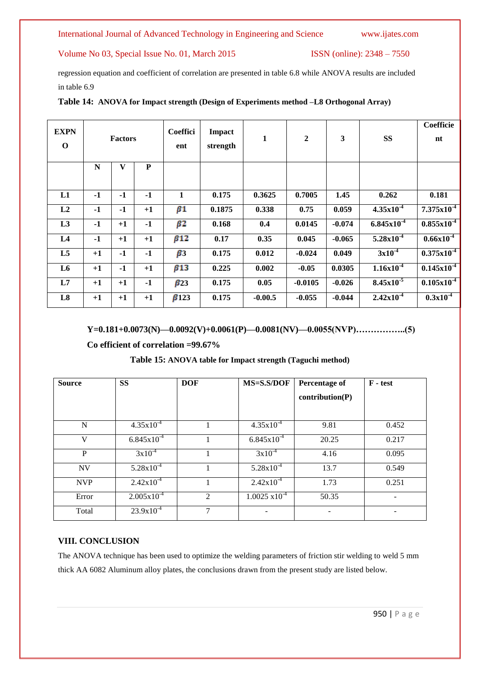Volume No 03, Special Issue No. 01, March 2015 ISSN (online): 2348 – 7550

regression equation and coefficient of correlation are presented in table 6.8 while ANOVA results are included in table 6.9

| <b>EXPN</b><br>$\mathbf 0$ | <b>Factors</b> |              | <b>Coeffici</b><br>ent | Impact<br>strength | 1      | $\overline{2}$ | 3         | <b>SS</b> | <b>Coefficie</b><br>nt |                            |
|----------------------------|----------------|--------------|------------------------|--------------------|--------|----------------|-----------|-----------|------------------------|----------------------------|
|                            | N              | $\mathbf{V}$ | ${\bf P}$              |                    |        |                |           |           |                        |                            |
| L1                         | $-1$           | $-1$         | $-1$                   | 1                  | 0.175  | 0.3625         | 0.7005    | 1.45      | 0.262                  | 0.181                      |
| L2                         | $-1$           | $-1$         | $+1$                   | $\beta1$           | 0.1875 | 0.338          | 0.75      | 0.059     | $4.35x10^{-4}$         | $7.375 \times 10^{-4}$     |
| L3                         | $-1$           | $+1$         | $-1$                   | β2                 | 0.168  | 0.4            | 0.0145    | $-0.074$  | $6.845x10^{-4}$        | $0.855x10^{-4}$            |
| L4                         | $-1$           | $+1$         | $+1$                   | $\beta$ 12         | 0.17   | 0.35           | 0.045     | $-0.065$  | $5.28 \times 10^{-4}$  | $0.66x10^{-4}$             |
| L5                         | $+1$           | $-1$         | $-1$                   | $\beta$ 3          | 0.175  | 0.012          | $-0.024$  | 0.049     | 3x10 <sup>4</sup>      | $0.375x\overline{10^{-4}}$ |
| L <sub>6</sub>             | $+1$           | $-1$         | $+1$                   | $\beta$ 13         | 0.225  | 0.002          | $-0.05$   | 0.0305    | $1.16x10^{-4}$         | $0.145x10^{-4}$            |
| L7                         | $+1$           | $+1$         | $-1$                   | $\beta$ 23         | 0.175  | 0.05           | $-0.0105$ | $-0.026$  | $8.45x10^{-5}$         | $0.105 \times 10^{-4}$     |
| L8                         | $+1$           | $+1$         | $+1$                   | $\beta$ 123        | 0.175  | $-0.00.5$      | $-0.055$  | $-0.044$  | $2.42x10^{-4}$         | $0.3x10^{-4}$              |

### **Table 14: ANOVA for Impact strength (Design of Experiments method –L8 Orthogonal Array)**

**Y=0.181+0.0073(N)—0.0092(V)+0.0061(P)—0.0081(NV)—0.0055(NVP)……………..(5)**

**Co efficient of correlation =99.67%**

## **Table 15: ANOVA table for Impact strength (Taguchi method)**

| <b>Source</b> | <b>SS</b>              | <b>DOF</b>     | MS=S.S/DOF              | <b>Percentage of</b> | $F - test$ |
|---------------|------------------------|----------------|-------------------------|----------------------|------------|
|               |                        |                |                         | contribution(P)      |            |
|               |                        |                |                         |                      |            |
| N             | $4.35x10^{-4}$         |                | $4.35x10^{-4}$          | 9.81                 | 0.452      |
| V             | $6.845 \times 10^{-4}$ |                | $6.845 \times 10^{-4}$  | 20.25                | 0.217      |
| P             | $3x10^{-4}$            |                | $3x10^{-4}$             | 4.16                 | 0.095      |
| <b>NV</b>     | $5.28 \times 10^{-4}$  |                | $5.28 \times 10^{-4}$   | 13.7                 | 0.549      |
| <b>NVP</b>    | $2.42 \times 10^{-4}$  |                | $2.42 \times 10^{-4}$   | 1.73                 | 0.251      |
| Error         | $2.005 \times 10^{-4}$ | $\mathfrak{D}$ | $1.0025 \times 10^{-4}$ | 50.35                |            |
| Total         | $23.9x10^{-4}$         | 7              |                         |                      |            |

# **VIII. CONCLUSION**

The ANOVA technique has been used to optimize the welding parameters of friction stir welding to weld 5 mm thick AA 6082 Aluminum alloy plates, the conclusions drawn from the present study are listed below.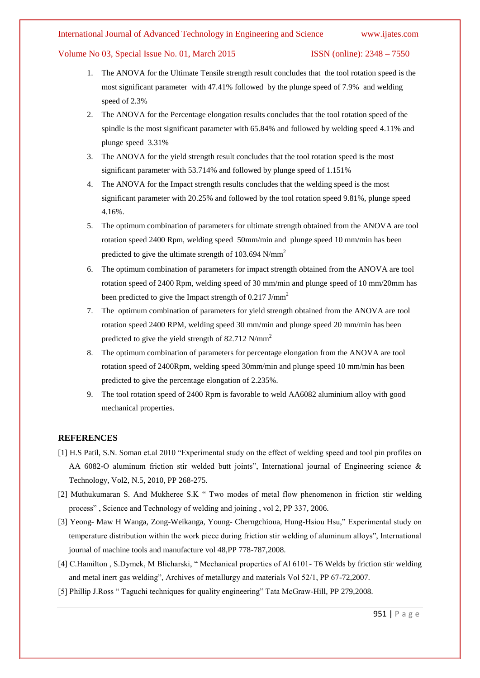- 1. The ANOVA for the Ultimate Tensile strength result concludes that the tool rotation speed is the most significant parameter with 47.41% followed by the plunge speed of 7.9% and welding speed of 2.3%
- 2. The ANOVA for the Percentage elongation results concludes that the tool rotation speed of the spindle is the most significant parameter with 65.84% and followed by welding speed 4.11% and plunge speed 3.31%
- 3. The ANOVA for the yield strength result concludes that the tool rotation speed is the most significant parameter with 53.714% and followed by plunge speed of 1.151%
- 4. The ANOVA for the Impact strength results concludes that the welding speed is the most significant parameter with 20.25% and followed by the tool rotation speed 9.81%, plunge speed 4.16%.
- 5. The optimum combination of parameters for ultimate strength obtained from the ANOVA are tool rotation speed 2400 Rpm, welding speed 50mm/min and plunge speed 10 mm/min has been predicted to give the ultimate strength of  $103.694$  N/mm<sup>2</sup>
- 6. The optimum combination of parameters for impact strength obtained from the ANOVA are tool rotation speed of 2400 Rpm, welding speed of 30 mm/min and plunge speed of 10 mm/20mm has been predicted to give the Impact strength of 0.217 J/mm<sup>2</sup>
- 7. The optimum combination of parameters for yield strength obtained from the ANOVA are tool rotation speed 2400 RPM, welding speed 30 mm/min and plunge speed 20 mm/min has been predicted to give the yield strength of 82.712 N/mm<sup>2</sup>
- 8. The optimum combination of parameters for percentage elongation from the ANOVA are tool rotation speed of 2400Rpm, welding speed 30mm/min and plunge speed 10 mm/min has been predicted to give the percentage elongation of 2.235%.
- 9. The tool rotation speed of 2400 Rpm is favorable to weld AA6082 aluminium alloy with good mechanical properties.

### **REFERENCES**

- [1] H.S Patil, S.N. Soman et.al 2010 "Experimental study on the effect of welding speed and tool pin profiles on AA 6082-O aluminum friction stir welded butt joints", International journal of Engineering science  $\&$ Technology, Vol2, N.5, 2010, PP 268-275.
- [2] Muthukumaran S. And Mukheree S.K " Two modes of metal flow phenomenon in friction stir welding process‖ , Science and Technology of welding and joining , vol 2, PP 337, 2006.
- [3] Yeong- Maw H Wanga, Zong-Weikanga, Young- Cherngchioua, Hung-Hsiou Hsu," Experimental study on temperature distribution within the work piece during friction stir welding of aluminum alloys", International journal of machine tools and manufacture vol 48,PP 778-787,2008.
- [4] C.Hamilton, S.Dymek, M Blicharski, "Mechanical properties of Al 6101- T6 Welds by friction stir welding and metal inert gas welding", Archives of metallurgy and materials Vol 52/1, PP 67-72,2007.
- [5] Phillip J.Ross "Taguchi techniques for quality engineering" Tata McGraw-Hill, PP 279,2008.